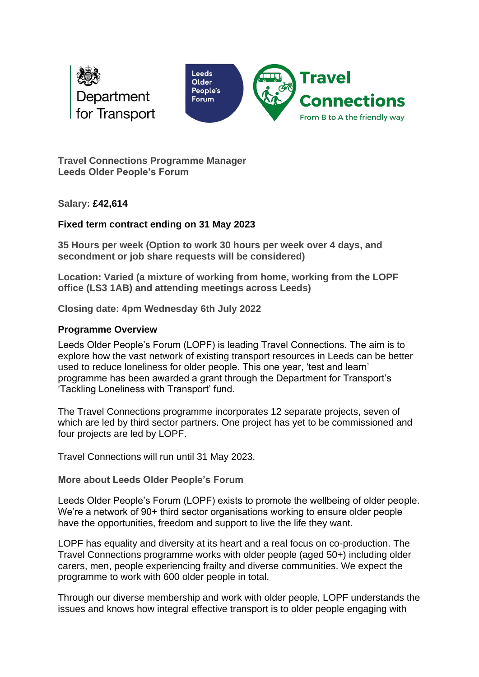



**Travel Connections Programme Manager Leeds Older People's Forum**

**Salary: £42,614** 

## **Fixed term contract ending on 31 May 2023**

**35 Hours per week (Option to work 30 hours per week over 4 days, and secondment or job share requests will be considered)**

**Location: Varied (a mixture of working from home, working from the LOPF office (LS3 1AB) and attending meetings across Leeds)** 

**Closing date: 4pm Wednesday 6th July 2022**

## **Programme Overview**

Leeds Older People's Forum (LOPF) is leading Travel Connections. The aim is to explore how the vast network of existing transport resources in Leeds can be better used to reduce loneliness for older people. This one year, 'test and learn' programme has been awarded a grant through the Department for Transport's 'Tackling Loneliness with Transport' fund.

The Travel Connections programme incorporates 12 separate projects, seven of which are led by third sector partners. One project has yet to be commissioned and four projects are led by LOPF.

Travel Connections will run until 31 May 2023.

**More about Leeds Older People's Forum**

Leeds Older People's Forum (LOPF) exists to promote the wellbeing of older people. We're a network of 90+ third sector organisations working to ensure older people have the opportunities, freedom and support to live the life they want.

LOPF has equality and diversity at its heart and a real focus on co-production. The Travel Connections programme works with older people (aged 50+) including older carers, men, people experiencing frailty and diverse communities. We expect the programme to work with 600 older people in total.

Through our diverse membership and work with older people, LOPF understands the issues and knows how integral effective transport is to older people engaging with